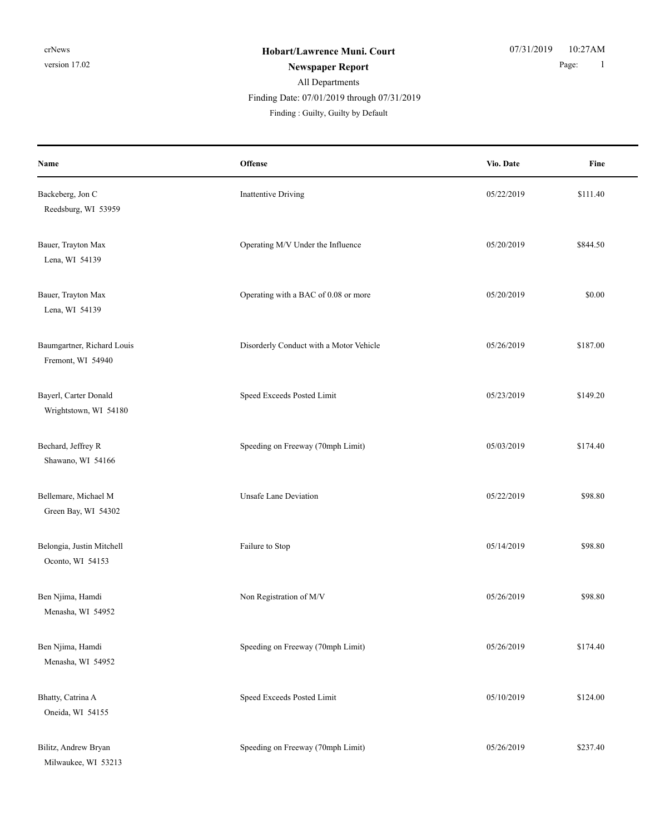# All Departments Finding Date: 07/01/2019 through 07/31/2019

Finding : Guilty, Guilty by Default

| Name                                            | <b>Offense</b>                          | Vio. Date  | Fine     |
|-------------------------------------------------|-----------------------------------------|------------|----------|
| Backeberg, Jon C<br>Reedsburg, WI 53959         | Inattentive Driving                     | 05/22/2019 | \$111.40 |
| Bauer, Trayton Max<br>Lena, WI 54139            | Operating M/V Under the Influence       | 05/20/2019 | \$844.50 |
| Bauer, Trayton Max<br>Lena, WI 54139            | Operating with a BAC of 0.08 or more    | 05/20/2019 | \$0.00   |
| Baumgartner, Richard Louis<br>Fremont, WI 54940 | Disorderly Conduct with a Motor Vehicle | 05/26/2019 | \$187.00 |
| Bayerl, Carter Donald<br>Wrightstown, WI 54180  | Speed Exceeds Posted Limit              | 05/23/2019 | \$149.20 |
| Bechard, Jeffrey R<br>Shawano, WI 54166         | Speeding on Freeway (70mph Limit)       | 05/03/2019 | \$174.40 |
| Bellemare, Michael M<br>Green Bay, WI 54302     | <b>Unsafe Lane Deviation</b>            | 05/22/2019 | \$98.80  |
| Belongia, Justin Mitchell<br>Oconto, WI 54153   | Failure to Stop                         | 05/14/2019 | \$98.80  |
| Ben Njima, Hamdi<br>Menasha, WI 54952           | Non Registration of M/V                 | 05/26/2019 | \$98.80  |
| Ben Njima, Hamdi<br>Menasha, WI 54952           | Speeding on Freeway (70mph Limit)       | 05/26/2019 | \$174.40 |
| Bhatty, Catrina A<br>Oneida, WI 54155           | Speed Exceeds Posted Limit              | 05/10/2019 | \$124.00 |
| Bilitz, Andrew Bryan<br>Milwaukee, WI 53213     | Speeding on Freeway (70mph Limit)       | 05/26/2019 | \$237.40 |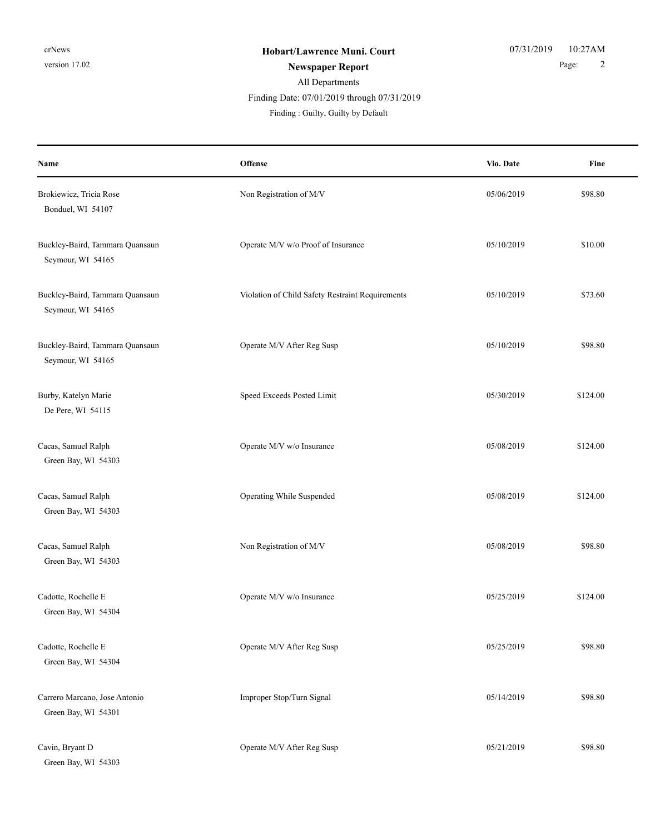| Name                                                 | Offense                                          | Vio. Date  | Fine     |
|------------------------------------------------------|--------------------------------------------------|------------|----------|
| Brokiewicz, Tricia Rose<br>Bonduel, WI 54107         | Non Registration of M/V                          | 05/06/2019 | \$98.80  |
| Buckley-Baird, Tammara Quansaun<br>Seymour, WI 54165 | Operate M/V w/o Proof of Insurance               | 05/10/2019 | \$10.00  |
| Buckley-Baird, Tammara Quansaun<br>Seymour, WI 54165 | Violation of Child Safety Restraint Requirements | 05/10/2019 | \$73.60  |
| Buckley-Baird, Tammara Quansaun<br>Seymour, WI 54165 | Operate M/V After Reg Susp                       | 05/10/2019 | \$98.80  |
| Burby, Katelyn Marie<br>De Pere, WI 54115            | Speed Exceeds Posted Limit                       | 05/30/2019 | \$124.00 |
| Cacas, Samuel Ralph<br>Green Bay, WI 54303           | Operate M/V w/o Insurance                        | 05/08/2019 | \$124.00 |
| Cacas, Samuel Ralph<br>Green Bay, WI 54303           | Operating While Suspended                        | 05/08/2019 | \$124.00 |
| Cacas, Samuel Ralph<br>Green Bay, WI 54303           | Non Registration of M/V                          | 05/08/2019 | \$98.80  |
| Cadotte, Rochelle E<br>Green Bay, WI 54304           | Operate M/V w/o Insurance                        | 05/25/2019 | \$124.00 |
| Cadotte, Rochelle E<br>Green Bay, WI 54304           | Operate M/V After Reg Susp                       | 05/25/2019 | \$98.80  |
| Carrero Marcano, Jose Antonio<br>Green Bay, WI 54301 | Improper Stop/Turn Signal                        | 05/14/2019 | \$98.80  |
| Cavin, Bryant D<br>Green Bay, WI 54303               | Operate M/V After Reg Susp                       | 05/21/2019 | \$98.80  |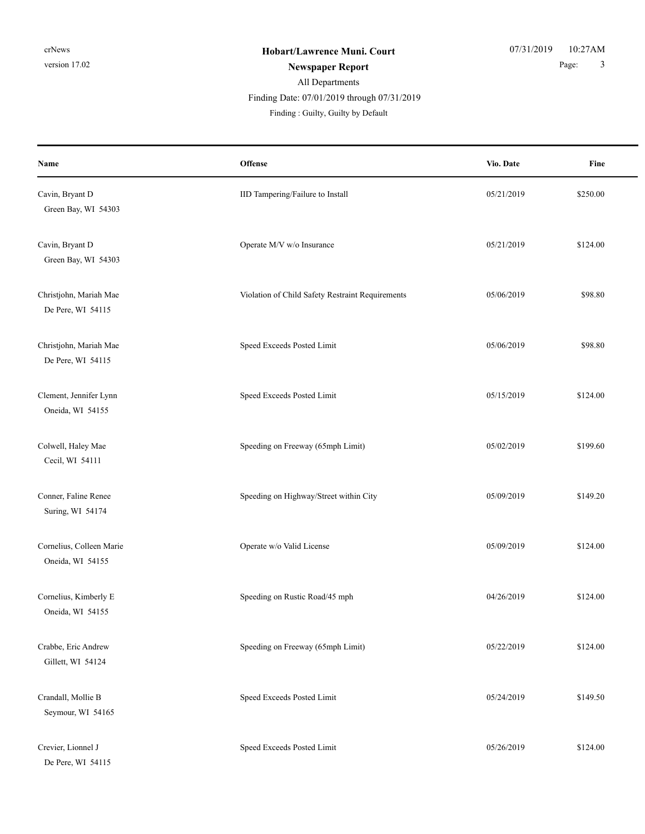| Name                                         | Offense                                          | Vio. Date  | Fine     |
|----------------------------------------------|--------------------------------------------------|------------|----------|
| Cavin, Bryant D<br>Green Bay, WI 54303       | IID Tampering/Failure to Install                 | 05/21/2019 | \$250.00 |
| Cavin, Bryant D<br>Green Bay, WI 54303       | Operate M/V w/o Insurance                        | 05/21/2019 | \$124.00 |
| Christjohn, Mariah Mae<br>De Pere, WI 54115  | Violation of Child Safety Restraint Requirements | 05/06/2019 | \$98.80  |
| Christjohn, Mariah Mae<br>De Pere, WI 54115  | Speed Exceeds Posted Limit                       | 05/06/2019 | \$98.80  |
| Clement, Jennifer Lynn<br>Oneida, WI 54155   | Speed Exceeds Posted Limit                       | 05/15/2019 | \$124.00 |
| Colwell, Haley Mae<br>Cecil, WI 54111        | Speeding on Freeway (65mph Limit)                | 05/02/2019 | \$199.60 |
| Conner, Faline Renee<br>Suring, WI 54174     | Speeding on Highway/Street within City           | 05/09/2019 | \$149.20 |
| Cornelius, Colleen Marie<br>Oneida, WI 54155 | Operate w/o Valid License                        | 05/09/2019 | \$124.00 |
| Cornelius, Kimberly E<br>Oneida, WI 54155    | Speeding on Rustic Road/45 mph                   | 04/26/2019 | \$124.00 |
| Crabbe, Eric Andrew<br>Gillett, WI 54124     | Speeding on Freeway (65mph Limit)                | 05/22/2019 | \$124.00 |
| Crandall, Mollie B<br>Seymour, WI 54165      | Speed Exceeds Posted Limit                       | 05/24/2019 | \$149.50 |
| Crevier, Lionnel J<br>De Pere, WI 54115      | Speed Exceeds Posted Limit                       | 05/26/2019 | \$124.00 |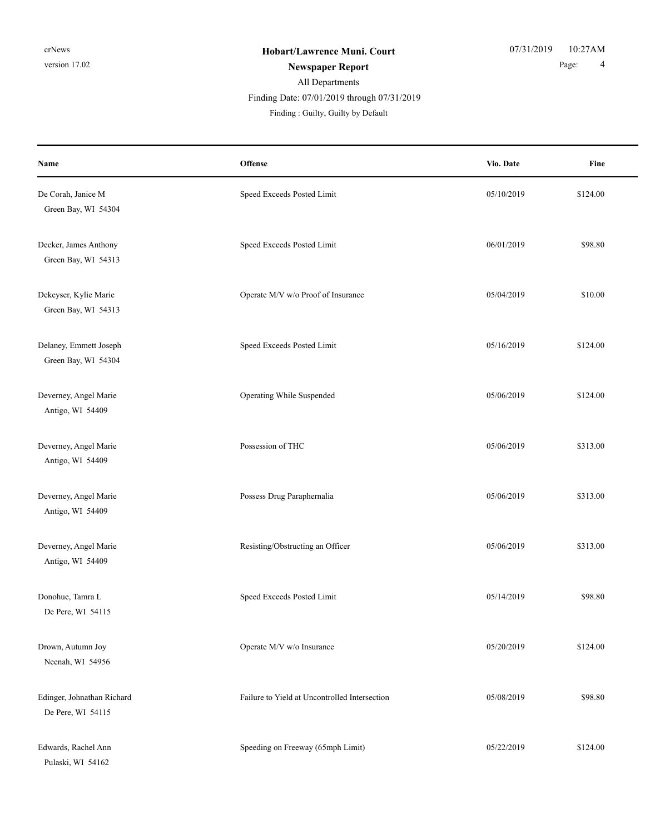#### All Departments **Newspaper Report** 2 and 2 and 2 and 2 and 2 and 2 and 2 and 2 and 2 and 2 and 2 and 2 and 2 and 2 and 2 and 2 and 2 and 2 and 2 and 2 and 2 and 2 and 2 and 2 and 2 and 2 and 2 and 2 and 2 and 2 and 2 and 2 and 2 and 2 and Finding : Guilty, Guilty by Default Finding Date: 07/01/2019 through 07/31/2019

| Name                                            | Offense                                       | Vio. Date  | Fine     |
|-------------------------------------------------|-----------------------------------------------|------------|----------|
| De Corah, Janice M<br>Green Bay, WI 54304       | Speed Exceeds Posted Limit                    | 05/10/2019 | \$124.00 |
| Decker, James Anthony<br>Green Bay, WI 54313    | Speed Exceeds Posted Limit                    | 06/01/2019 | \$98.80  |
| Dekeyser, Kylie Marie<br>Green Bay, WI 54313    | Operate M/V w/o Proof of Insurance            | 05/04/2019 | \$10.00  |
| Delaney, Emmett Joseph<br>Green Bay, WI 54304   | Speed Exceeds Posted Limit                    | 05/16/2019 | \$124.00 |
| Deverney, Angel Marie<br>Antigo, WI 54409       | Operating While Suspended                     | 05/06/2019 | \$124.00 |
| Deverney, Angel Marie<br>Antigo, WI 54409       | Possession of THC                             | 05/06/2019 | \$313.00 |
| Deverney, Angel Marie<br>Antigo, WI 54409       | Possess Drug Paraphernalia                    | 05/06/2019 | \$313.00 |
| Deverney, Angel Marie<br>Antigo, WI 54409       | Resisting/Obstructing an Officer              | 05/06/2019 | \$313.00 |
| Donohue, Tamra L<br>De Pere, WI 54115           | Speed Exceeds Posted Limit                    | 05/14/2019 | \$98.80  |
| Drown, Autumn Joy<br>Neenah, WI 54956           | Operate M/V w/o Insurance                     | 05/20/2019 | \$124.00 |
| Edinger, Johnathan Richard<br>De Pere, WI 54115 | Failure to Yield at Uncontrolled Intersection | 05/08/2019 | \$98.80  |
| Edwards, Rachel Ann<br>Pulaski, WI 54162        | Speeding on Freeway (65mph Limit)             | 05/22/2019 | \$124.00 |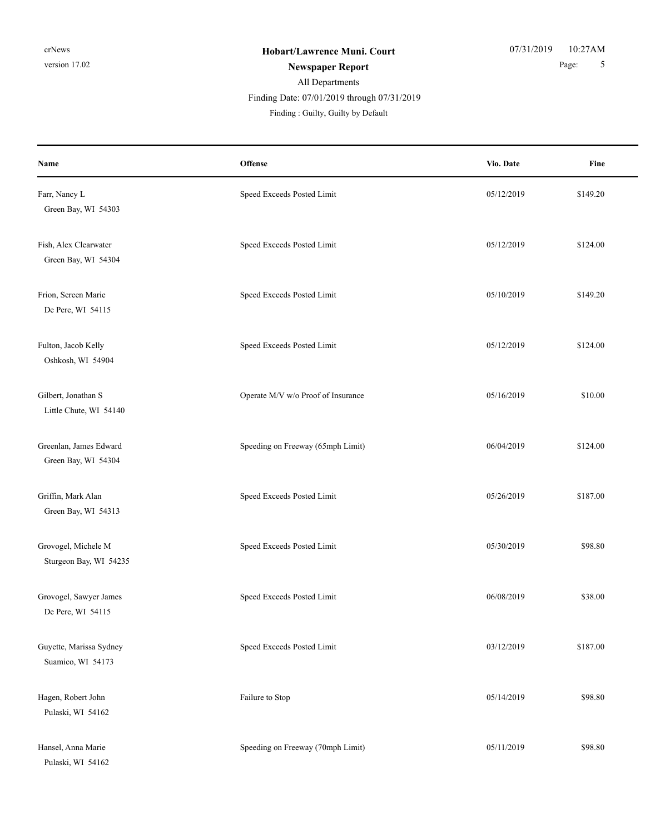| Name                                          | Offense                            | Vio. Date  | Fine     |
|-----------------------------------------------|------------------------------------|------------|----------|
| Farr, Nancy L<br>Green Bay, WI 54303          | Speed Exceeds Posted Limit         | 05/12/2019 | \$149.20 |
| Fish, Alex Clearwater<br>Green Bay, WI 54304  | Speed Exceeds Posted Limit         | 05/12/2019 | \$124.00 |
| Frion, Sereen Marie<br>De Pere, WI 54115      | Speed Exceeds Posted Limit         | 05/10/2019 | \$149.20 |
| Fulton, Jacob Kelly<br>Oshkosh, WI 54904      | Speed Exceeds Posted Limit         | 05/12/2019 | \$124.00 |
| Gilbert, Jonathan S<br>Little Chute, WI 54140 | Operate M/V w/o Proof of Insurance | 05/16/2019 | \$10.00  |
| Greenlan, James Edward<br>Green Bay, WI 54304 | Speeding on Freeway (65mph Limit)  | 06/04/2019 | \$124.00 |
| Griffin, Mark Alan<br>Green Bay, WI 54313     | Speed Exceeds Posted Limit         | 05/26/2019 | \$187.00 |
| Grovogel, Michele M<br>Sturgeon Bay, WI 54235 | Speed Exceeds Posted Limit         | 05/30/2019 | \$98.80  |
| Grovogel, Sawyer James<br>De Pere, WI 54115   | Speed Exceeds Posted Limit         | 06/08/2019 | \$38.00  |
| Guyette, Marissa Sydney<br>Suamico, WI 54173  | Speed Exceeds Posted Limit         | 03/12/2019 | \$187.00 |
| Hagen, Robert John<br>Pulaski, WI 54162       | Failure to Stop                    | 05/14/2019 | \$98.80  |
| Hansel, Anna Marie<br>Pulaski, WI 54162       | Speeding on Freeway (70mph Limit)  | 05/11/2019 | \$98.80  |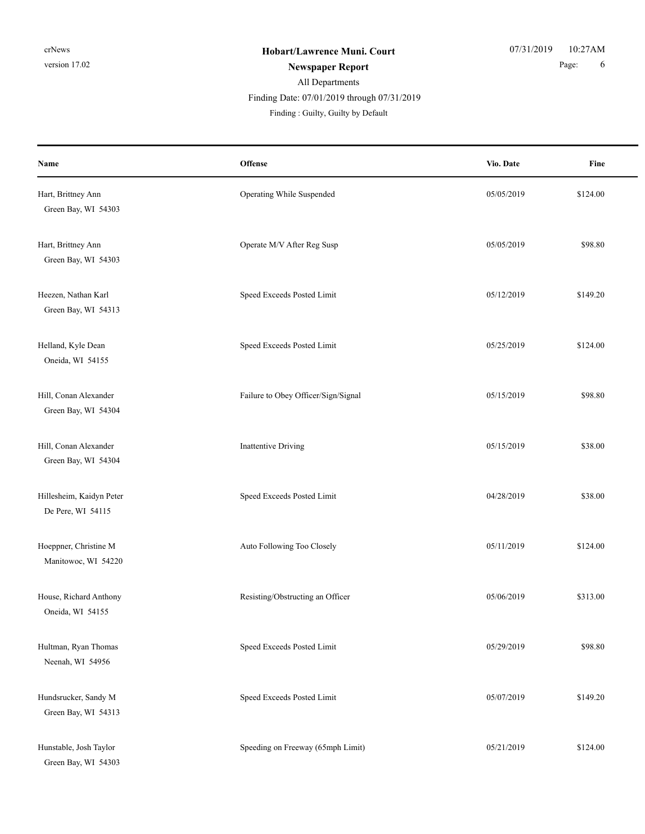| Name                                          | <b>Offense</b>                      | Vio. Date  | Fine     |
|-----------------------------------------------|-------------------------------------|------------|----------|
| Hart, Brittney Ann<br>Green Bay, WI 54303     | Operating While Suspended           | 05/05/2019 | \$124.00 |
| Hart, Brittney Ann<br>Green Bay, WI 54303     | Operate M/V After Reg Susp          | 05/05/2019 | \$98.80  |
| Heezen, Nathan Karl<br>Green Bay, WI 54313    | Speed Exceeds Posted Limit          | 05/12/2019 | \$149.20 |
| Helland, Kyle Dean<br>Oneida, WI 54155        | Speed Exceeds Posted Limit          | 05/25/2019 | \$124.00 |
| Hill, Conan Alexander<br>Green Bay, WI 54304  | Failure to Obey Officer/Sign/Signal | 05/15/2019 | \$98.80  |
| Hill, Conan Alexander<br>Green Bay, WI 54304  | <b>Inattentive Driving</b>          | 05/15/2019 | \$38.00  |
| Hillesheim, Kaidyn Peter<br>De Pere, WI 54115 | Speed Exceeds Posted Limit          | 04/28/2019 | \$38.00  |
| Hoeppner, Christine M<br>Manitowoc, WI 54220  | Auto Following Too Closely          | 05/11/2019 | \$124.00 |
| House, Richard Anthony<br>Oneida, WI 54155    | Resisting/Obstructing an Officer    | 05/06/2019 | \$313.00 |
| Hultman, Ryan Thomas<br>Neenah, WI 54956      | Speed Exceeds Posted Limit          | 05/29/2019 | \$98.80  |
| Hundsrucker, Sandy M<br>Green Bay, WI 54313   | Speed Exceeds Posted Limit          | 05/07/2019 | \$149.20 |
| Hunstable, Josh Taylor<br>Green Bay, WI 54303 | Speeding on Freeway (65mph Limit)   | 05/21/2019 | \$124.00 |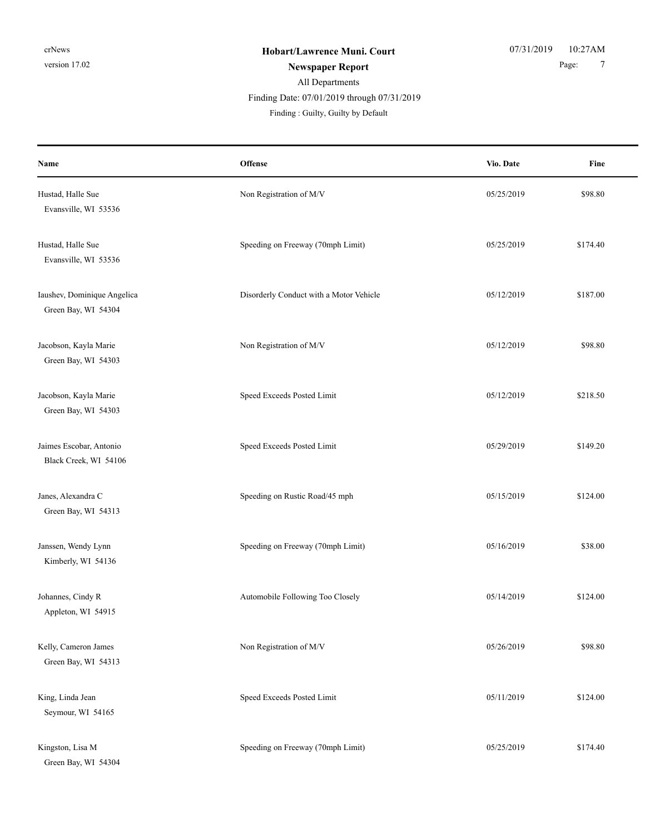| Name                                               | Offense                                 | Vio. Date  | Fine     |
|----------------------------------------------------|-----------------------------------------|------------|----------|
| Hustad, Halle Sue<br>Evansville, WI 53536          | Non Registration of M/V                 | 05/25/2019 | \$98.80  |
| Hustad, Halle Sue<br>Evansville, WI 53536          | Speeding on Freeway (70mph Limit)       | 05/25/2019 | \$174.40 |
| Iaushev, Dominique Angelica<br>Green Bay, WI 54304 | Disorderly Conduct with a Motor Vehicle | 05/12/2019 | \$187.00 |
| Jacobson, Kayla Marie<br>Green Bay, WI 54303       | Non Registration of M/V                 | 05/12/2019 | \$98.80  |
| Jacobson, Kayla Marie<br>Green Bay, WI 54303       | Speed Exceeds Posted Limit              | 05/12/2019 | \$218.50 |
| Jaimes Escobar, Antonio<br>Black Creek, WI 54106   | Speed Exceeds Posted Limit              | 05/29/2019 | \$149.20 |
| Janes, Alexandra C<br>Green Bay, WI 54313          | Speeding on Rustic Road/45 mph          | 05/15/2019 | \$124.00 |
| Janssen, Wendy Lynn<br>Kimberly, WI 54136          | Speeding on Freeway (70mph Limit)       | 05/16/2019 | \$38.00  |
| Johannes, Cindy R<br>Appleton, WI 54915            | Automobile Following Too Closely        | 05/14/2019 | \$124.00 |
| Kelly, Cameron James<br>Green Bay, WI 54313        | Non Registration of M/V                 | 05/26/2019 | \$98.80  |
| King, Linda Jean<br>Seymour, WI 54165              | Speed Exceeds Posted Limit              | 05/11/2019 | \$124.00 |
| Kingston, Lisa M<br>Green Bay, WI 54304            | Speeding on Freeway (70mph Limit)       | 05/25/2019 | \$174.40 |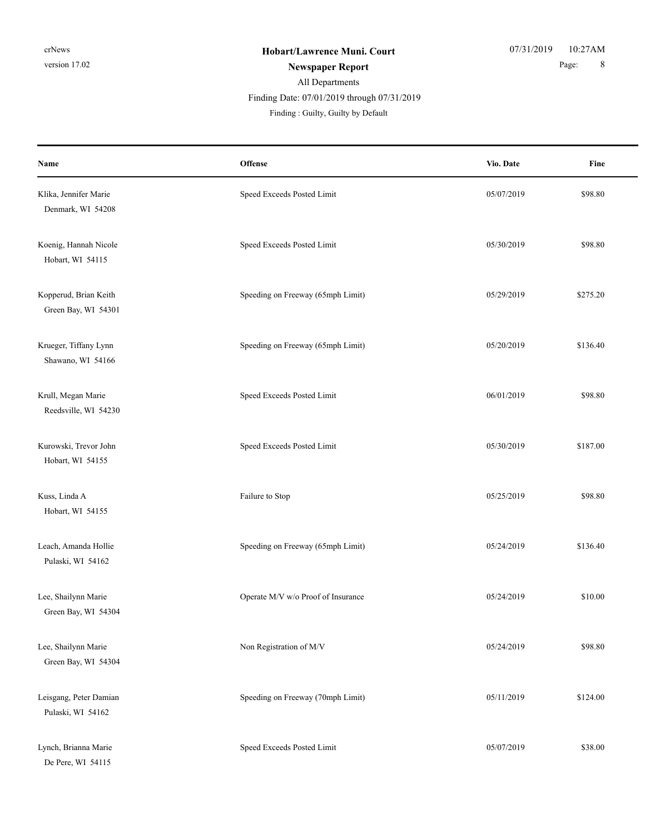| Name                                         | Offense                            | Vio. Date  | Fine     |
|----------------------------------------------|------------------------------------|------------|----------|
| Klika, Jennifer Marie<br>Denmark, WI 54208   | Speed Exceeds Posted Limit         | 05/07/2019 | \$98.80  |
| Koenig, Hannah Nicole<br>Hobart, WI 54115    | Speed Exceeds Posted Limit         | 05/30/2019 | \$98.80  |
| Kopperud, Brian Keith<br>Green Bay, WI 54301 | Speeding on Freeway (65mph Limit)  | 05/29/2019 | \$275.20 |
| Krueger, Tiffany Lynn<br>Shawano, WI 54166   | Speeding on Freeway (65mph Limit)  | 05/20/2019 | \$136.40 |
| Krull, Megan Marie<br>Reedsville, WI 54230   | Speed Exceeds Posted Limit         | 06/01/2019 | \$98.80  |
| Kurowski, Trevor John<br>Hobart, WI 54155    | Speed Exceeds Posted Limit         | 05/30/2019 | \$187.00 |
| Kuss, Linda A<br>Hobart, WI 54155            | Failure to Stop                    | 05/25/2019 | \$98.80  |
| Leach, Amanda Hollie<br>Pulaski, WI 54162    | Speeding on Freeway (65mph Limit)  | 05/24/2019 | \$136.40 |
| Lee, Shailynn Marie<br>Green Bay, WI 54304   | Operate M/V w/o Proof of Insurance | 05/24/2019 | \$10.00  |
| Lee, Shailynn Marie<br>Green Bay, WI 54304   | Non Registration of M/V            | 05/24/2019 | \$98.80  |
| Leisgang, Peter Damian<br>Pulaski, WI 54162  | Speeding on Freeway (70mph Limit)  | 05/11/2019 | \$124.00 |
| Lynch, Brianna Marie<br>De Pere, WI 54115    | Speed Exceeds Posted Limit         | 05/07/2019 | \$38.00  |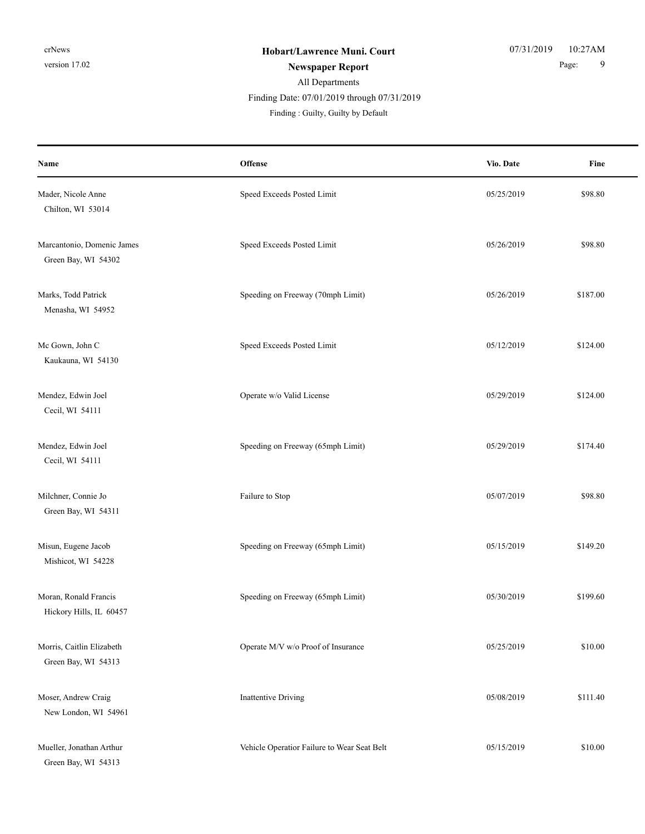| Name                                              | Offense                                     | Vio. Date  | Fine     |
|---------------------------------------------------|---------------------------------------------|------------|----------|
| Mader, Nicole Anne<br>Chilton, WI 53014           | Speed Exceeds Posted Limit                  | 05/25/2019 | \$98.80  |
| Marcantonio, Domenic James<br>Green Bay, WI 54302 | Speed Exceeds Posted Limit                  | 05/26/2019 | \$98.80  |
| Marks, Todd Patrick<br>Menasha, WI 54952          | Speeding on Freeway (70mph Limit)           | 05/26/2019 | \$187.00 |
| Mc Gown, John C<br>Kaukauna, WI 54130             | Speed Exceeds Posted Limit                  | 05/12/2019 | \$124.00 |
| Mendez, Edwin Joel<br>Cecil, WI 54111             | Operate w/o Valid License                   | 05/29/2019 | \$124.00 |
| Mendez, Edwin Joel<br>Cecil, WI 54111             | Speeding on Freeway (65mph Limit)           | 05/29/2019 | \$174.40 |
| Milchner, Connie Jo<br>Green Bay, WI 54311        | Failure to Stop                             | 05/07/2019 | \$98.80  |
| Misun, Eugene Jacob<br>Mishicot, WI 54228         | Speeding on Freeway (65mph Limit)           | 05/15/2019 | \$149.20 |
| Moran, Ronald Francis<br>Hickory Hills, IL 60457  | Speeding on Freeway (65mph Limit)           | 05/30/2019 | \$199.60 |
| Morris, Caitlin Elizabeth<br>Green Bay, WI 54313  | Operate M/V w/o Proof of Insurance          | 05/25/2019 | \$10.00  |
| Moser, Andrew Craig<br>New London, WI 54961       | <b>Inattentive Driving</b>                  | 05/08/2019 | \$111.40 |
| Mueller, Jonathan Arthur<br>Green Bay, WI 54313   | Vehicle Operatior Failure to Wear Seat Belt | 05/15/2019 | \$10.00  |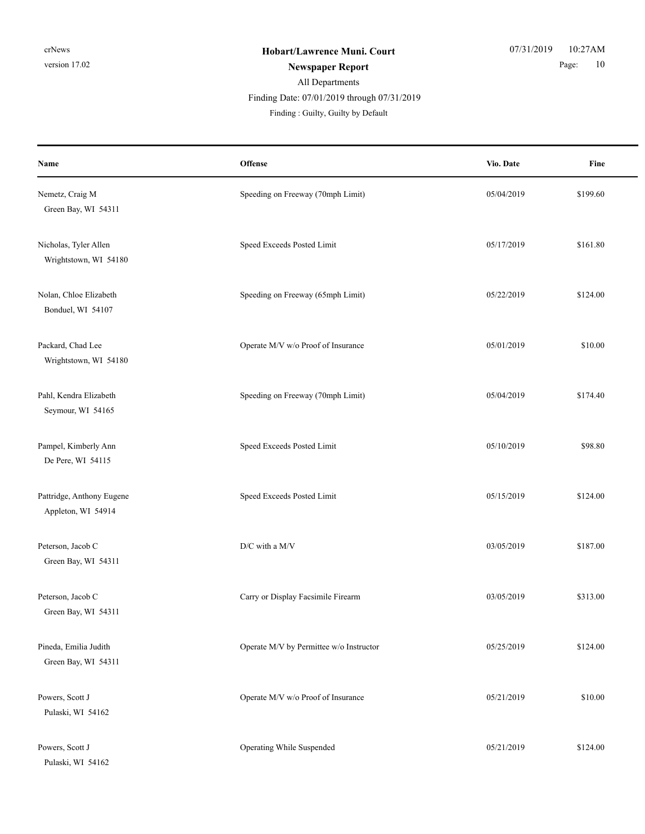| Name                                            | Offense                                 | Vio. Date  | Fine     |
|-------------------------------------------------|-----------------------------------------|------------|----------|
| Nemetz, Craig M<br>Green Bay, WI 54311          | Speeding on Freeway (70mph Limit)       | 05/04/2019 | \$199.60 |
| Nicholas, Tyler Allen<br>Wrightstown, WI 54180  | Speed Exceeds Posted Limit              | 05/17/2019 | \$161.80 |
| Nolan, Chloe Elizabeth<br>Bonduel, WI 54107     | Speeding on Freeway (65mph Limit)       | 05/22/2019 | \$124.00 |
| Packard, Chad Lee<br>Wrightstown, WI 54180      | Operate M/V w/o Proof of Insurance      | 05/01/2019 | \$10.00  |
| Pahl, Kendra Elizabeth<br>Seymour, WI 54165     | Speeding on Freeway (70mph Limit)       | 05/04/2019 | \$174.40 |
| Pampel, Kimberly Ann<br>De Pere, WI 54115       | Speed Exceeds Posted Limit              | 05/10/2019 | \$98.80  |
| Pattridge, Anthony Eugene<br>Appleton, WI 54914 | Speed Exceeds Posted Limit              | 05/15/2019 | \$124.00 |
| Peterson, Jacob C<br>Green Bay, WI 54311        | D/C with a M/V                          | 03/05/2019 | \$187.00 |
| Peterson, Jacob C<br>Green Bay, WI 54311        | Carry or Display Facsimile Firearm      | 03/05/2019 | \$313.00 |
| Pineda, Emilia Judith<br>Green Bay, WI 54311    | Operate M/V by Permittee w/o Instructor | 05/25/2019 | \$124.00 |
| Powers, Scott J<br>Pulaski, WI 54162            | Operate M/V w/o Proof of Insurance      | 05/21/2019 | \$10.00  |
| Powers, Scott J<br>Pulaski, WI 54162            | Operating While Suspended               | 05/21/2019 | \$124.00 |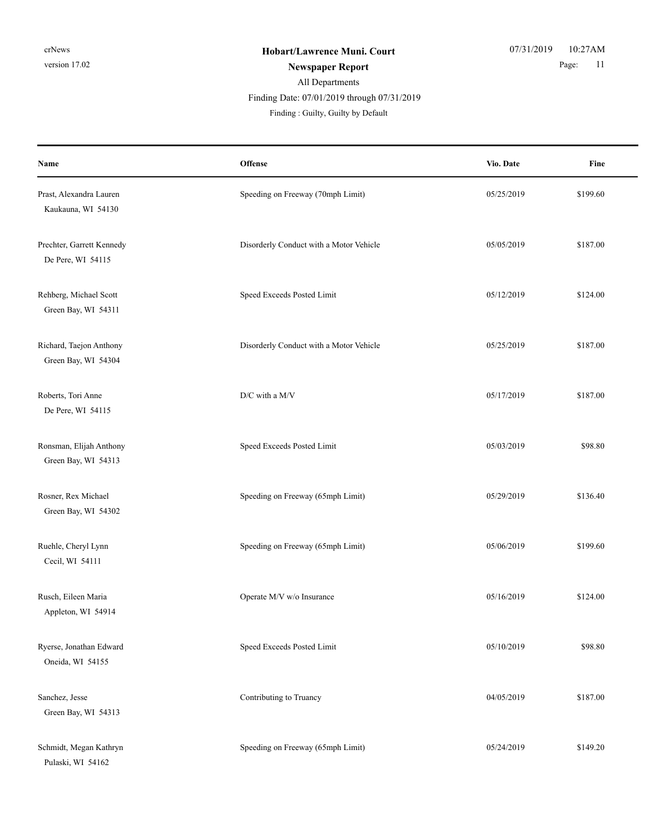| Name                                           | Offense                                 | Vio. Date  | Fine     |
|------------------------------------------------|-----------------------------------------|------------|----------|
| Prast, Alexandra Lauren<br>Kaukauna, WI 54130  | Speeding on Freeway (70mph Limit)       | 05/25/2019 | \$199.60 |
| Prechter, Garrett Kennedy<br>De Pere, WI 54115 | Disorderly Conduct with a Motor Vehicle | 05/05/2019 | \$187.00 |
| Rehberg, Michael Scott<br>Green Bay, WI 54311  | Speed Exceeds Posted Limit              | 05/12/2019 | \$124.00 |
| Richard, Taejon Anthony<br>Green Bay, WI 54304 | Disorderly Conduct with a Motor Vehicle | 05/25/2019 | \$187.00 |
| Roberts, Tori Anne<br>De Pere, WI 54115        | D/C with a M/V                          | 05/17/2019 | \$187.00 |
| Ronsman, Elijah Anthony<br>Green Bay, WI 54313 | Speed Exceeds Posted Limit              | 05/03/2019 | \$98.80  |
| Rosner, Rex Michael<br>Green Bay, WI 54302     | Speeding on Freeway (65mph Limit)       | 05/29/2019 | \$136.40 |
| Ruehle, Cheryl Lynn<br>Cecil, WI 54111         | Speeding on Freeway (65mph Limit)       | 05/06/2019 | \$199.60 |
| Rusch, Eileen Maria<br>Appleton, WI 54914      | Operate M/V w/o Insurance               | 05/16/2019 | \$124.00 |
| Ryerse, Jonathan Edward<br>Oneida, WI 54155    | Speed Exceeds Posted Limit              | 05/10/2019 | \$98.80  |
| Sanchez, Jesse<br>Green Bay, WI 54313          | Contributing to Truancy                 | 04/05/2019 | \$187.00 |
| Schmidt, Megan Kathryn<br>Pulaski, WI 54162    | Speeding on Freeway (65mph Limit)       | 05/24/2019 | \$149.20 |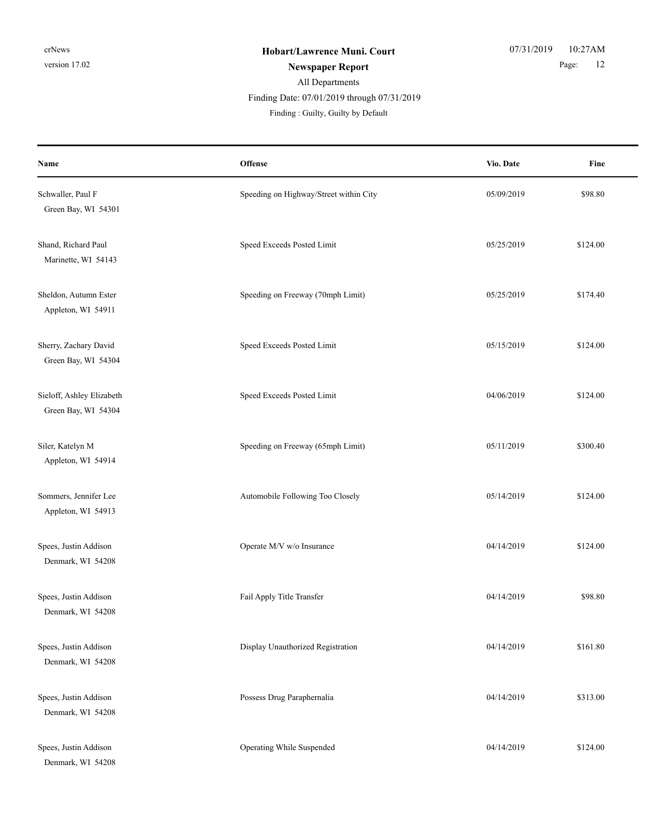#### All Departments **Newspaper Report** 2 Page: 12 Finding : Guilty, Guilty by Default Finding Date: 07/01/2019 through 07/31/2019

| Name                                             | Offense                                | Vio. Date  | Fine     |
|--------------------------------------------------|----------------------------------------|------------|----------|
| Schwaller, Paul F<br>Green Bay, WI 54301         | Speeding on Highway/Street within City | 05/09/2019 | \$98.80  |
| Shand, Richard Paul<br>Marinette, WI 54143       | Speed Exceeds Posted Limit             | 05/25/2019 | \$124.00 |
| Sheldon, Autumn Ester<br>Appleton, WI 54911      | Speeding on Freeway (70mph Limit)      | 05/25/2019 | \$174.40 |
| Sherry, Zachary David<br>Green Bay, WI 54304     | Speed Exceeds Posted Limit             | 05/15/2019 | \$124.00 |
| Sieloff, Ashley Elizabeth<br>Green Bay, WI 54304 | Speed Exceeds Posted Limit             | 04/06/2019 | \$124.00 |
| Siler, Katelyn M<br>Appleton, WI 54914           | Speeding on Freeway (65mph Limit)      | 05/11/2019 | \$300.40 |
| Sommers, Jennifer Lee<br>Appleton, WI 54913      | Automobile Following Too Closely       | 05/14/2019 | \$124.00 |
| Spees, Justin Addison<br>Denmark, WI 54208       | Operate M/V w/o Insurance              | 04/14/2019 | \$124.00 |
| Spees, Justin Addison<br>Denmark, WI 54208       | Fail Apply Title Transfer              | 04/14/2019 | \$98.80  |
| Spees, Justin Addison<br>Denmark, WI 54208       | Display Unauthorized Registration      | 04/14/2019 | \$161.80 |
| Spees, Justin Addison<br>Denmark, WI 54208       | Possess Drug Paraphernalia             | 04/14/2019 | \$313.00 |
| Spees, Justin Addison<br>Denmark, WI 54208       | Operating While Suspended              | 04/14/2019 | \$124.00 |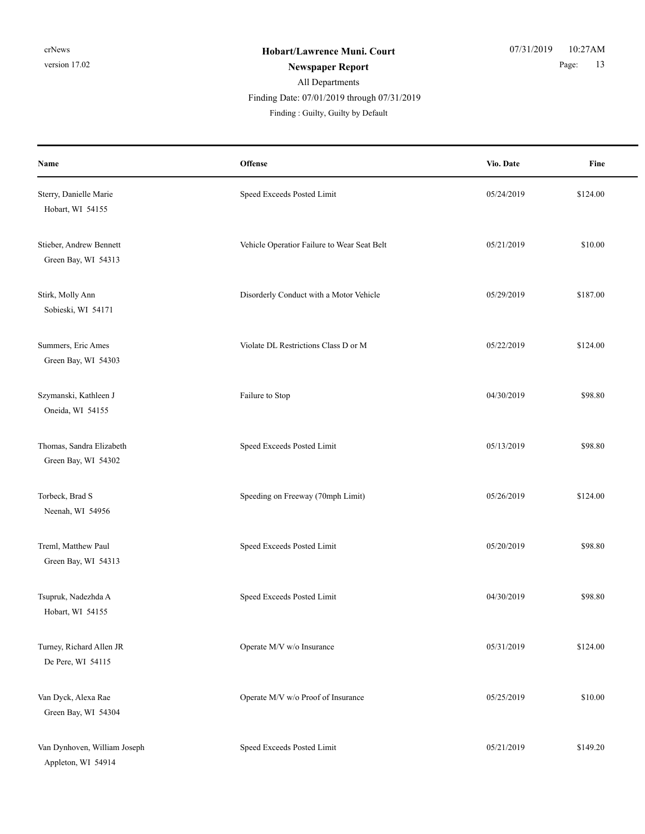| Name                                               | Offense                                     | Vio. Date  | Fine     |
|----------------------------------------------------|---------------------------------------------|------------|----------|
| Sterry, Danielle Marie<br>Hobart, WI 54155         | Speed Exceeds Posted Limit                  | 05/24/2019 | \$124.00 |
| Stieber, Andrew Bennett<br>Green Bay, WI 54313     | Vehicle Operatior Failure to Wear Seat Belt | 05/21/2019 | \$10.00  |
| Stirk, Molly Ann<br>Sobieski, WI 54171             | Disorderly Conduct with a Motor Vehicle     | 05/29/2019 | \$187.00 |
| Summers, Eric Ames<br>Green Bay, WI 54303          | Violate DL Restrictions Class D or M        | 05/22/2019 | \$124.00 |
| Szymanski, Kathleen J<br>Oneida, WI 54155          | Failure to Stop                             | 04/30/2019 | \$98.80  |
| Thomas, Sandra Elizabeth<br>Green Bay, WI 54302    | Speed Exceeds Posted Limit                  | 05/13/2019 | \$98.80  |
| Torbeck, Brad S<br>Neenah, WI 54956                | Speeding on Freeway (70mph Limit)           | 05/26/2019 | \$124.00 |
| Treml, Matthew Paul<br>Green Bay, WI 54313         | Speed Exceeds Posted Limit                  | 05/20/2019 | \$98.80  |
| Tsupruk, Nadezhda A<br>Hobart, WI 54155            | Speed Exceeds Posted Limit                  | 04/30/2019 | \$98.80  |
| Turney, Richard Allen JR<br>De Pere, WI 54115      | Operate M/V w/o Insurance                   | 05/31/2019 | \$124.00 |
| Van Dyck, Alexa Rae<br>Green Bay, WI 54304         | Operate M/V w/o Proof of Insurance          | 05/25/2019 | \$10.00  |
| Van Dynhoven, William Joseph<br>Appleton, WI 54914 | Speed Exceeds Posted Limit                  | 05/21/2019 | \$149.20 |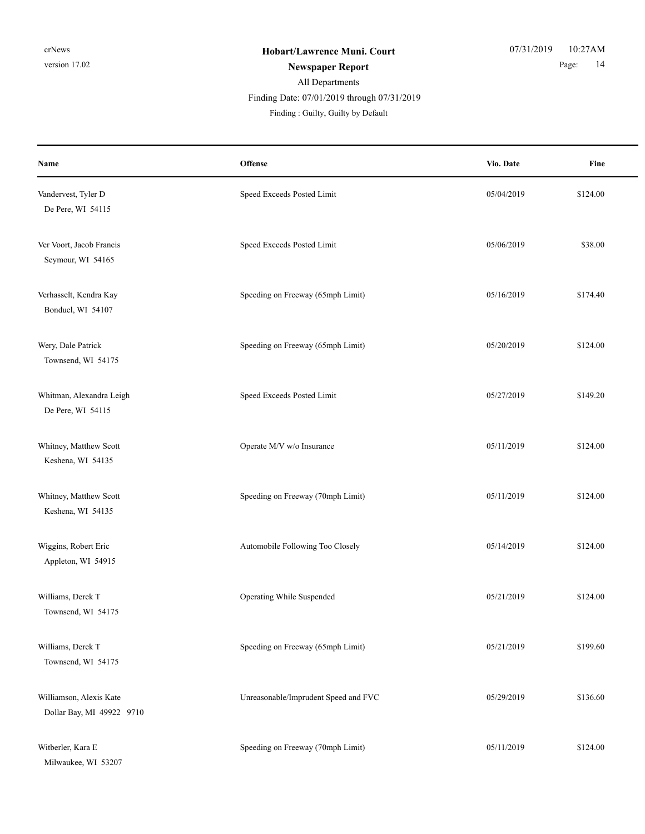| Name                                                 | Offense                              | Vio. Date  | Fine     |
|------------------------------------------------------|--------------------------------------|------------|----------|
| Vandervest, Tyler D<br>De Pere, WI 54115             | Speed Exceeds Posted Limit           | 05/04/2019 | \$124.00 |
| Ver Voort, Jacob Francis<br>Seymour, WI 54165        | Speed Exceeds Posted Limit           | 05/06/2019 | \$38.00  |
| Verhasselt, Kendra Kay<br>Bonduel, WI 54107          | Speeding on Freeway (65mph Limit)    | 05/16/2019 | \$174.40 |
| Wery, Dale Patrick<br>Townsend, WI 54175             | Speeding on Freeway (65mph Limit)    | 05/20/2019 | \$124.00 |
| Whitman, Alexandra Leigh<br>De Pere, WI 54115        | Speed Exceeds Posted Limit           | 05/27/2019 | \$149.20 |
| Whitney, Matthew Scott<br>Keshena, WI 54135          | Operate M/V w/o Insurance            | 05/11/2019 | \$124.00 |
| Whitney, Matthew Scott<br>Keshena, WI 54135          | Speeding on Freeway (70mph Limit)    | 05/11/2019 | \$124.00 |
| Wiggins, Robert Eric<br>Appleton, WI 54915           | Automobile Following Too Closely     | 05/14/2019 | \$124.00 |
| Williams, Derek T<br>Townsend, WI 54175              | Operating While Suspended            | 05/21/2019 | \$124.00 |
| Williams, Derek T<br>Townsend, WI 54175              | Speeding on Freeway (65mph Limit)    | 05/21/2019 | \$199.60 |
| Williamson, Alexis Kate<br>Dollar Bay, MI 49922 9710 | Unreasonable/Imprudent Speed and FVC | 05/29/2019 | \$136.60 |
| Witberler, Kara E<br>Milwaukee, WI 53207             | Speeding on Freeway (70mph Limit)    | 05/11/2019 | \$124.00 |